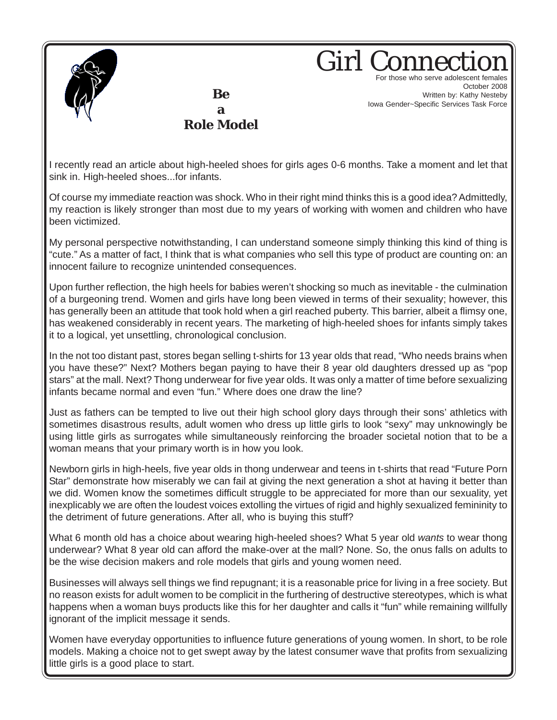

**Be a**

**Role Model**

**Girl Conne** For those who serve adolescent females October 2008 Written by: Kathy Nesteby Iowa Gender~Specific Services Task Force

I recently read an article about high-heeled shoes for girls ages 0-6 months. Take a moment and let that sink in. High-heeled shoes...for infants.

Of course my immediate reaction was shock. Who in their right mind thinks this is a good idea? Admittedly, my reaction is likely stronger than most due to my years of working with women and children who have been victimized.

My personal perspective notwithstanding, I can understand someone simply thinking this kind of thing is "cute." As a matter of fact, I think that is what companies who sell this type of product are counting on: an innocent failure to recognize unintended consequences.

Upon further reflection, the high heels for babies weren't shocking so much as inevitable - the culmination of a burgeoning trend. Women and girls have long been viewed in terms of their sexuality; however, this has generally been an attitude that took hold when a girl reached puberty. This barrier, albeit a flimsy one, has weakened considerably in recent years. The marketing of high-heeled shoes for infants simply takes it to a logical, yet unsettling, chronological conclusion.

In the not too distant past, stores began selling t-shirts for 13 year olds that read, "Who needs brains when you have these?" Next? Mothers began paying to have their 8 year old daughters dressed up as "pop stars" at the mall. Next? Thong underwear for five year olds. It was only a matter of time before sexualizing infants became normal and even "fun." Where does one draw the line?

Just as fathers can be tempted to live out their high school glory days through their sons' athletics with sometimes disastrous results, adult women who dress up little girls to look "sexy" may unknowingly be using little girls as surrogates while simultaneously reinforcing the broader societal notion that to be a woman means that your primary worth is in how you look.

Newborn girls in high-heels, five year olds in thong underwear and teens in t-shirts that read "Future Porn Star" demonstrate how miserably we can fail at giving the next generation a shot at having it better than we did. Women know the sometimes difficult struggle to be appreciated for more than our sexuality, yet inexplicably we are often the loudest voices extolling the virtues of rigid and highly sexualized femininity to the detriment of future generations. After all, who is buying this stuff?

What 6 month old has a choice about wearing high-heeled shoes? What 5 year old *wants* to wear thong underwear? What 8 year old can afford the make-over at the mall? None. So, the onus falls on adults to be the wise decision makers and role models that girls and young women need.

Businesses will always sell things we find repugnant; it is a reasonable price for living in a free society. But no reason exists for adult women to be complicit in the furthering of destructive stereotypes, which is what happens when a woman buys products like this for her daughter and calls it "fun" while remaining willfully ignorant of the implicit message it sends.

Women have everyday opportunities to influence future generations of young women. In short, to be role models. Making a choice not to get swept away by the latest consumer wave that profits from sexualizing little girls is a good place to start.